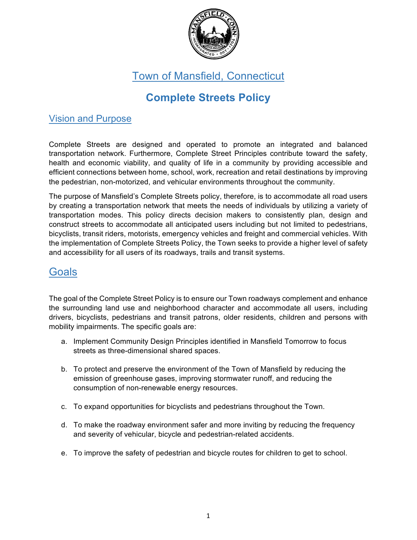

Town of Mansfield, Connecticut

# **Complete Streets Policy**

#### Vision and Purpose

Complete Streets are designed and operated to promote an integrated and balanced transportation network. Furthermore, Complete Street Principles contribute toward the safety, health and economic viability, and quality of life in a community by providing accessible and efficient connections between home, school, work, recreation and retail destinations by improving the pedestrian, non-motorized, and vehicular environments throughout the community.

The purpose of Mansfield's Complete Streets policy, therefore, is to accommodate all road users by creating a transportation network that meets the needs of individuals by utilizing a variety of transportation modes. This policy directs decision makers to consistently plan, design and construct streets to accommodate all anticipated users including but not limited to pedestrians, bicyclists, transit riders, motorists, emergency vehicles and freight and commercial vehicles. With the implementation of Complete Streets Policy, the Town seeks to provide a higher level of safety and accessibility for all users of its roadways, trails and transit systems.

#### **Goals**

The goal of the Complete Street Policy is to ensure our Town roadways complement and enhance the surrounding land use and neighborhood character and accommodate all users, including drivers, bicyclists, pedestrians and transit patrons, older residents, children and persons with mobility impairments. The specific goals are:

- a. Implement Community Design Principles identified in Mansfield Tomorrow to focus streets as three-dimensional shared spaces.
- b. To protect and preserve the environment of the Town of Mansfield by reducing the emission of greenhouse gases, improving stormwater runoff, and reducing the consumption of non-renewable energy resources.
- c. To expand opportunities for bicyclists and pedestrians throughout the Town.
- d. To make the roadway environment safer and more inviting by reducing the frequency and severity of vehicular, bicycle and pedestrian-related accidents.
- e. To improve the safety of pedestrian and bicycle routes for children to get to school.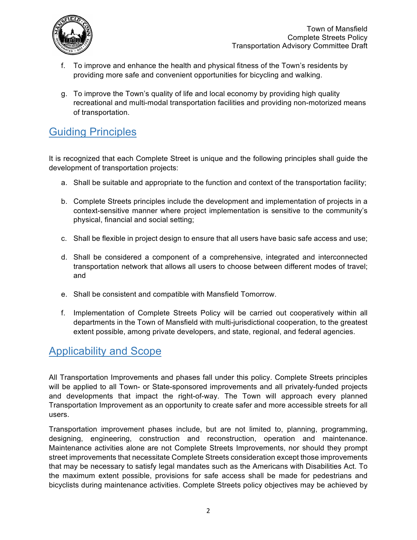

- f. To improve and enhance the health and physical fitness of the Town's residents by providing more safe and convenient opportunities for bicycling and walking.
- g. To improve the Town's quality of life and local economy by providing high quality recreational and multi-modal transportation facilities and providing non-motorized means of transportation.

# Guiding Principles

It is recognized that each Complete Street is unique and the following principles shall guide the development of transportation projects:

- a. Shall be suitable and appropriate to the function and context of the transportation facility;
- b. Complete Streets principles include the development and implementation of projects in a context-sensitive manner where project implementation is sensitive to the community's physical, financial and social setting;
- c. Shall be flexible in project design to ensure that all users have basic safe access and use;
- d. Shall be considered a component of a comprehensive, integrated and interconnected transportation network that allows all users to choose between different modes of travel; and
- e. Shall be consistent and compatible with Mansfield Tomorrow.
- f. Implementation of Complete Streets Policy will be carried out cooperatively within all departments in the Town of Mansfield with multi-jurisdictional cooperation, to the greatest extent possible, among private developers, and state, regional, and federal agencies.

## Applicability and Scope

All Transportation Improvements and phases fall under this policy. Complete Streets principles will be applied to all Town- or State-sponsored improvements and all privately-funded projects and developments that impact the right-of-way. The Town will approach every planned Transportation Improvement as an opportunity to create safer and more accessible streets for all users.

Transportation improvement phases include, but are not limited to, planning, programming, designing, engineering, construction and reconstruction, operation and maintenance. Maintenance activities alone are not Complete Streets Improvements, nor should they prompt street improvements that necessitate Complete Streets consideration except those improvements that may be necessary to satisfy legal mandates such as the Americans with Disabilities Act. To the maximum extent possible, provisions for safe access shall be made for pedestrians and bicyclists during maintenance activities. Complete Streets policy objectives may be achieved by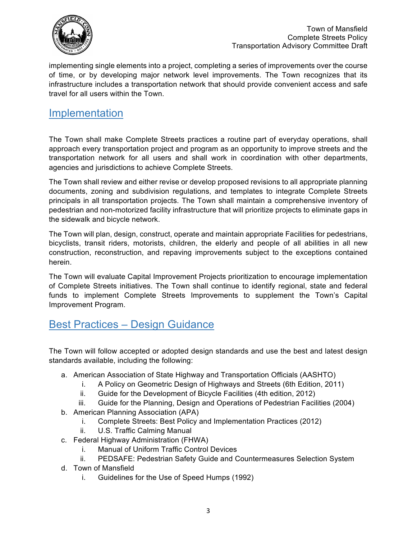

implementing single elements into a project, completing a series of improvements over the course of time, or by developing major network level improvements. The Town recognizes that its infrastructure includes a transportation network that should provide convenient access and safe travel for all users within the Town.

#### Implementation

The Town shall make Complete Streets practices a routine part of everyday operations, shall approach every transportation project and program as an opportunity to improve streets and the transportation network for all users and shall work in coordination with other departments, agencies and jurisdictions to achieve Complete Streets.

The Town shall review and either revise or develop proposed revisions to all appropriate planning documents, zoning and subdivision regulations, and templates to integrate Complete Streets principals in all transportation projects. The Town shall maintain a comprehensive inventory of pedestrian and non-motorized facility infrastructure that will prioritize projects to eliminate gaps in the sidewalk and bicycle network.

The Town will plan, design, construct, operate and maintain appropriate Facilities for pedestrians, bicyclists, transit riders, motorists, children, the elderly and people of all abilities in all new construction, reconstruction, and repaving improvements subject to the exceptions contained herein.

The Town will evaluate Capital Improvement Projects prioritization to encourage implementation of Complete Streets initiatives. The Town shall continue to identify regional, state and federal funds to implement Complete Streets Improvements to supplement the Town's Capital Improvement Program.

## Best Practices – Design Guidance

The Town will follow accepted or adopted design standards and use the best and latest design standards available, including the following:

- a. American Association of State Highway and Transportation Officials (AASHTO)
	- i. A Policy on Geometric Design of Highways and Streets (6th Edition, 2011)
	- ii. Guide for the Development of Bicycle Facilities (4th edition, 2012)
	- iii. Guide for the Planning, Design and Operations of Pedestrian Facilities (2004)
- b. American Planning Association (APA)
	- i. Complete Streets: Best Policy and Implementation Practices (2012)
	- ii. U.S. Traffic Calming Manual
- c. Federal Highway Administration (FHWA)
	- i. Manual of Uniform Traffic Control Devices
	- ii. PEDSAFE: Pedestrian Safety Guide and Countermeasures Selection System
- d. Town of Mansfield
	- i. Guidelines for the Use of Speed Humps (1992)